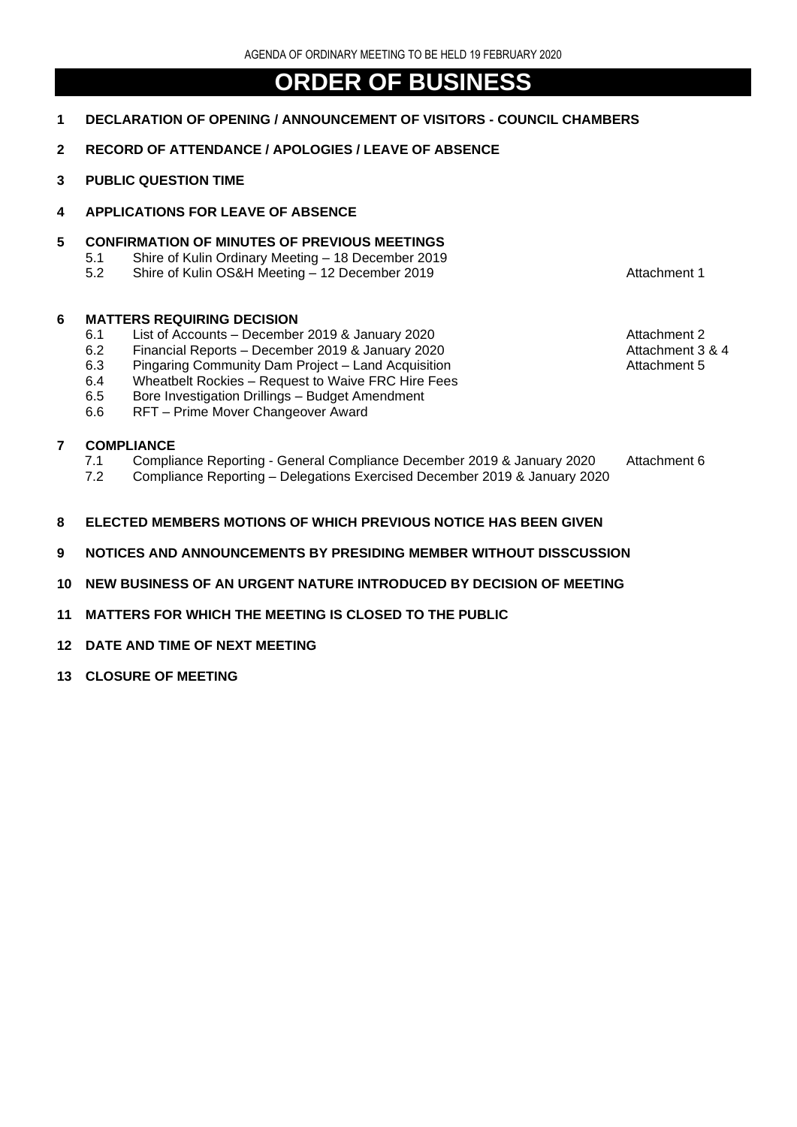# **ORDER OF BUSINESS**

- **1 DECLARATION OF OPENING / ANNOUNCEMENT OF VISITORS - COUNCIL CHAMBERS**
- **2 RECORD OF ATTENDANCE / APOLOGIES / LEAVE OF ABSENCE**
- **3 PUBLIC QUESTION TIME**
- **4 APPLICATIONS FOR LEAVE OF ABSENCE**

### **5 CONFIRMATION OF MINUTES OF PREVIOUS MEETINGS**

- 5.1 Shire of Kulin Ordinary Meeting 18 December 2019<br>5.2 Shire of Kulin OS&H Meeting 12 December 2019
- Shire of Kulin OS&H Meeting 12 December 2019 **Attachment 1**

#### **6 MATTERS REQUIRING DECISION**

- 6.1 List of Accounts December 2019 & January 2020 **Attachment 2** Attachment 2
- 6.2 Financial Reports December 2019 & January 2020<br>6.3 Pingaring Community Dam Project Land Acquisition Attachment 5
- 6.3 Pingaring Community Dam Project Land Acquisition
- 6.4 Wheatbelt Rockies Request to Waive FRC Hire Fees
- 6.5 Bore Investigation Drillings Budget Amendment
- 6.6 RFT Prime Mover Changeover Award

## **7 COMPLIANCE**

- 7.1 Compliance Reporting General Compliance December 2019 & January 2020 Attachment 6
- 7.2 Compliance Reporting Delegations Exercised December 2019 & January 2020
- **8 ELECTED MEMBERS MOTIONS OF WHICH PREVIOUS NOTICE HAS BEEN GIVEN**
- **9 NOTICES AND ANNOUNCEMENTS BY PRESIDING MEMBER WITHOUT DISSCUSSION**
- **10 NEW BUSINESS OF AN URGENT NATURE INTRODUCED BY DECISION OF MEETING**
- **11 MATTERS FOR WHICH THE MEETING IS CLOSED TO THE PUBLIC**
- **12 DATE AND TIME OF NEXT MEETING**
- **13 CLOSURE OF MEETING**
- 
- - -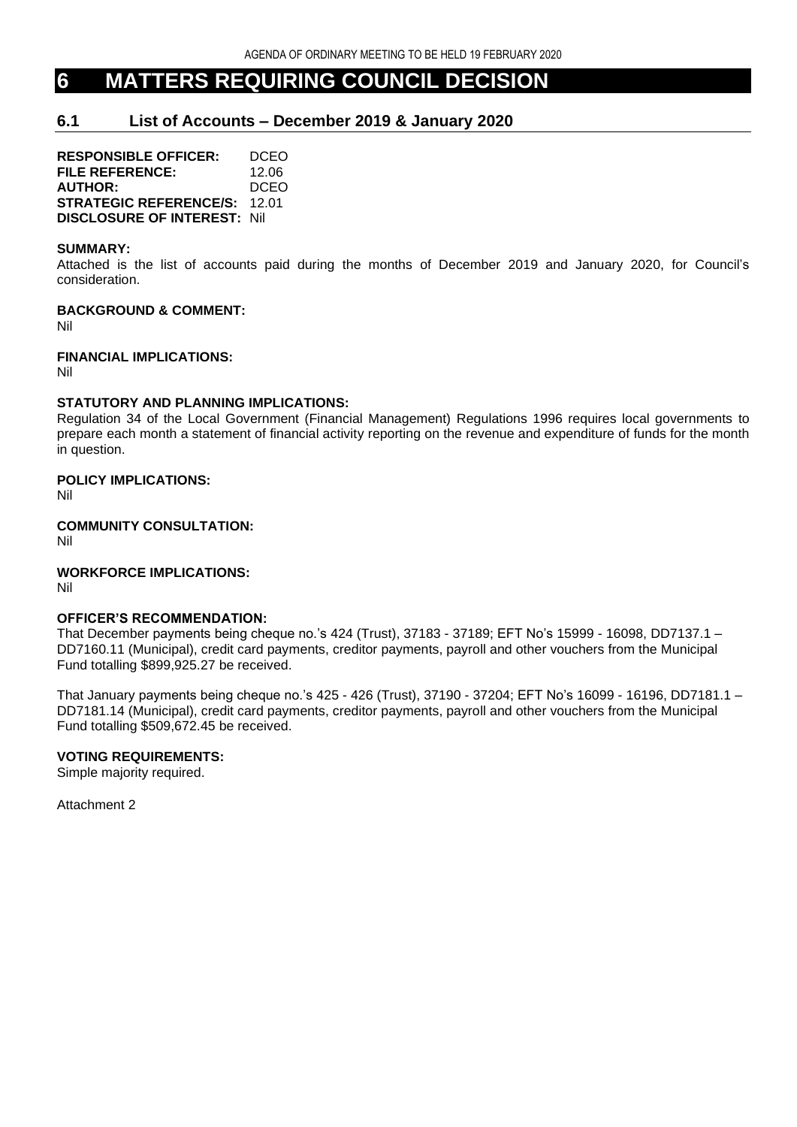# **6 MATTERS REQUIRING COUNCIL DECISION**

# **6.1 List of Accounts – December 2019 & January 2020**

**RESPONSIBLE OFFICER:** DCEO **FILE REFERENCE:** 12.06 **AUTHOR:** DCEO **STRATEGIC REFERENCE/S:** 12.01 **DISCLOSURE OF INTEREST:** Nil

#### **SUMMARY:**

Attached is the list of accounts paid during the months of December 2019 and January 2020, for Council's consideration.

## **BACKGROUND & COMMENT:**

Nil

## **FINANCIAL IMPLICATIONS:**

Nil

## **STATUTORY AND PLANNING IMPLICATIONS:**

Regulation 34 of the Local Government (Financial Management) Regulations 1996 requires local governments to prepare each month a statement of financial activity reporting on the revenue and expenditure of funds for the month in question.

## **POLICY IMPLICATIONS:**

Nil

**COMMUNITY CONSULTATION:** Nil

## **WORKFORCE IMPLICATIONS:**

Nil

#### **OFFICER'S RECOMMENDATION:**

That December payments being cheque no.'s 424 (Trust), 37183 - 37189; EFT No's 15999 - 16098, DD7137.1 – DD7160.11 (Municipal), credit card payments, creditor payments, payroll and other vouchers from the Municipal Fund totalling \$899,925.27 be received.

That January payments being cheque no.'s 425 - 426 (Trust), 37190 - 37204; EFT No's 16099 - 16196, DD7181.1 – DD7181.14 (Municipal), credit card payments, creditor payments, payroll and other vouchers from the Municipal Fund totalling \$509,672.45 be received.

## **VOTING REQUIREMENTS:**

Simple majority required.

Attachment 2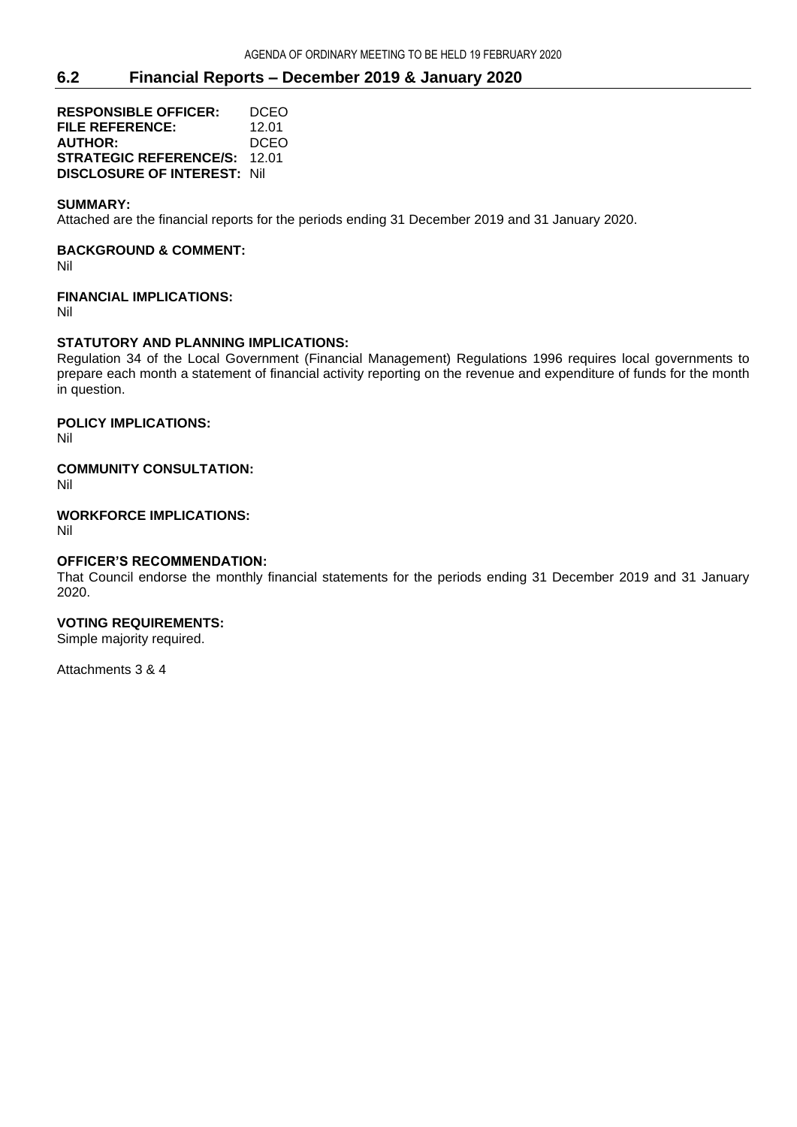# **6.2 Financial Reports – December 2019 & January 2020**

**RESPONSIBLE OFFICER:** DCEO **FILE REFERENCE:** 12.01 **AUTHOR:** DCEO **STRATEGIC REFERENCE/S:** 12.01 **DISCLOSURE OF INTEREST:** Nil

#### **SUMMARY:**

Attached are the financial reports for the periods ending 31 December 2019 and 31 January 2020.

#### **BACKGROUND & COMMENT:**

Nil

#### **FINANCIAL IMPLICATIONS:**

Nil

#### **STATUTORY AND PLANNING IMPLICATIONS:**

Regulation 34 of the Local Government (Financial Management) Regulations 1996 requires local governments to prepare each month a statement of financial activity reporting on the revenue and expenditure of funds for the month in question.

## **POLICY IMPLICATIONS:**

Nil

## **COMMUNITY CONSULTATION:**

Nil

#### **WORKFORCE IMPLICATIONS:**

Nil

#### **OFFICER'S RECOMMENDATION:**

That Council endorse the monthly financial statements for the periods ending 31 December 2019 and 31 January 2020.

## **VOTING REQUIREMENTS:**

Simple majority required.

Attachments 3 & 4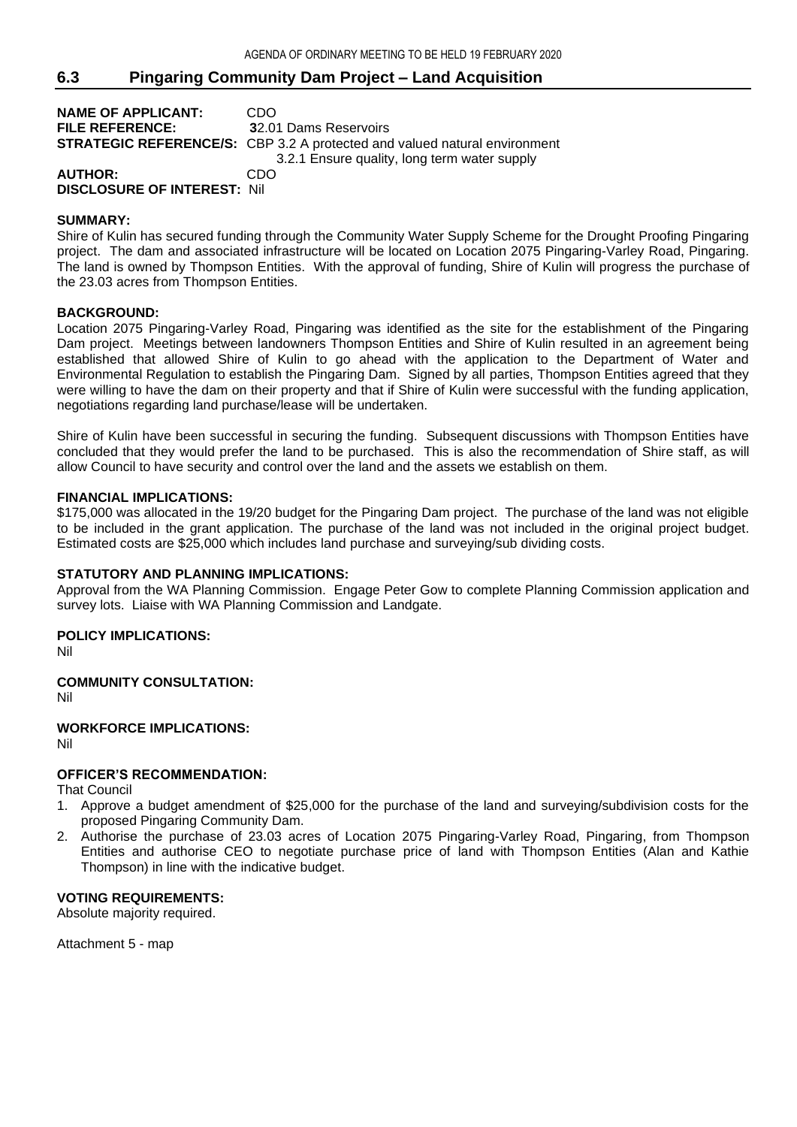# **6.3 Pingaring Community Dam Project – Land Acquisition**

| <b>NAME OF APPLICANT:</b>          | CDO                                                                              |
|------------------------------------|----------------------------------------------------------------------------------|
| <b>FILE REFERENCE:</b>             | 32.01 Dams Reservoirs                                                            |
|                                    | <b>STRATEGIC REFERENCE/S:</b> CBP 3.2 A protected and valued natural environment |
|                                    | 3.2.1 Ensure quality, long term water supply                                     |
| <b>AUTHOR:</b>                     | CDO                                                                              |
| <b>DISCLOSURE OF INTEREST: Nil</b> |                                                                                  |

#### **SUMMARY:**

Shire of Kulin has secured funding through the Community Water Supply Scheme for the Drought Proofing Pingaring project. The dam and associated infrastructure will be located on Location 2075 Pingaring-Varley Road, Pingaring. The land is owned by Thompson Entities. With the approval of funding, Shire of Kulin will progress the purchase of the 23.03 acres from Thompson Entities.

#### **BACKGROUND:**

Location 2075 Pingaring-Varley Road, Pingaring was identified as the site for the establishment of the Pingaring Dam project. Meetings between landowners Thompson Entities and Shire of Kulin resulted in an agreement being established that allowed Shire of Kulin to go ahead with the application to the Department of Water and Environmental Regulation to establish the Pingaring Dam. Signed by all parties, Thompson Entities agreed that they were willing to have the dam on their property and that if Shire of Kulin were successful with the funding application, negotiations regarding land purchase/lease will be undertaken.

Shire of Kulin have been successful in securing the funding. Subsequent discussions with Thompson Entities have concluded that they would prefer the land to be purchased. This is also the recommendation of Shire staff, as will allow Council to have security and control over the land and the assets we establish on them.

#### **FINANCIAL IMPLICATIONS:**

\$175,000 was allocated in the 19/20 budget for the Pingaring Dam project. The purchase of the land was not eligible to be included in the grant application. The purchase of the land was not included in the original project budget. Estimated costs are \$25,000 which includes land purchase and surveying/sub dividing costs.

#### **STATUTORY AND PLANNING IMPLICATIONS:**

Approval from the WA Planning Commission. Engage Peter Gow to complete Planning Commission application and survey lots. Liaise with WA Planning Commission and Landgate.

#### **POLICY IMPLICATIONS:**

Nil

# **COMMUNITY CONSULTATION:**

Nil

# **WORKFORCE IMPLICATIONS:**

Nil

# **OFFICER'S RECOMMENDATION:**

That Council

- 1. Approve a budget amendment of \$25,000 for the purchase of the land and surveying/subdivision costs for the proposed Pingaring Community Dam.
- 2. Authorise the purchase of 23.03 acres of Location 2075 Pingaring-Varley Road, Pingaring, from Thompson Entities and authorise CEO to negotiate purchase price of land with Thompson Entities (Alan and Kathie Thompson) in line with the indicative budget.

#### **VOTING REQUIREMENTS:**

Absolute majority required.

Attachment 5 - map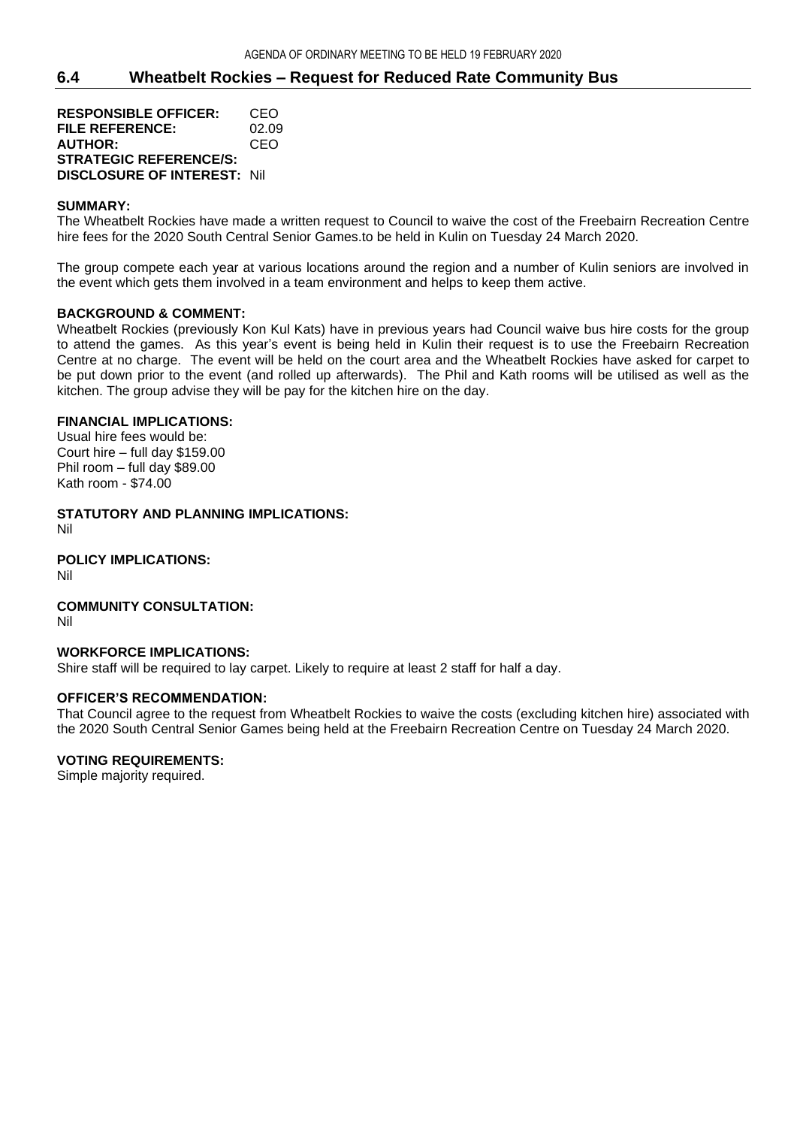# **6.4 Wheatbelt Rockies – Request for Reduced Rate Community Bus**

**RESPONSIBLE OFFICER:** CEO **FILE REFERENCE:** 02.09 **AUTHOR:** CEO **STRATEGIC REFERENCE/S: DISCLOSURE OF INTEREST:** Nil

### **SUMMARY:**

The Wheatbelt Rockies have made a written request to Council to waive the cost of the Freebairn Recreation Centre hire fees for the 2020 South Central Senior Games.to be held in Kulin on Tuesday 24 March 2020.

The group compete each year at various locations around the region and a number of Kulin seniors are involved in the event which gets them involved in a team environment and helps to keep them active.

#### **BACKGROUND & COMMENT:**

Wheatbelt Rockies (previously Kon Kul Kats) have in previous years had Council waive bus hire costs for the group to attend the games. As this year's event is being held in Kulin their request is to use the Freebairn Recreation Centre at no charge. The event will be held on the court area and the Wheatbelt Rockies have asked for carpet to be put down prior to the event (and rolled up afterwards). The Phil and Kath rooms will be utilised as well as the kitchen. The group advise they will be pay for the kitchen hire on the day.

## **FINANCIAL IMPLICATIONS:**

Usual hire fees would be: Court hire – full day \$159.00 Phil room – full day \$89.00 Kath room - \$74.00

**STATUTORY AND PLANNING IMPLICATIONS:** Nil

**POLICY IMPLICATIONS:** Nil

# **COMMUNITY CONSULTATION:**

Nil

#### **WORKFORCE IMPLICATIONS:**

Shire staff will be required to lay carpet. Likely to require at least 2 staff for half a day.

#### **OFFICER'S RECOMMENDATION:**

That Council agree to the request from Wheatbelt Rockies to waive the costs (excluding kitchen hire) associated with the 2020 South Central Senior Games being held at the Freebairn Recreation Centre on Tuesday 24 March 2020.

## **VOTING REQUIREMENTS:**

Simple majority required.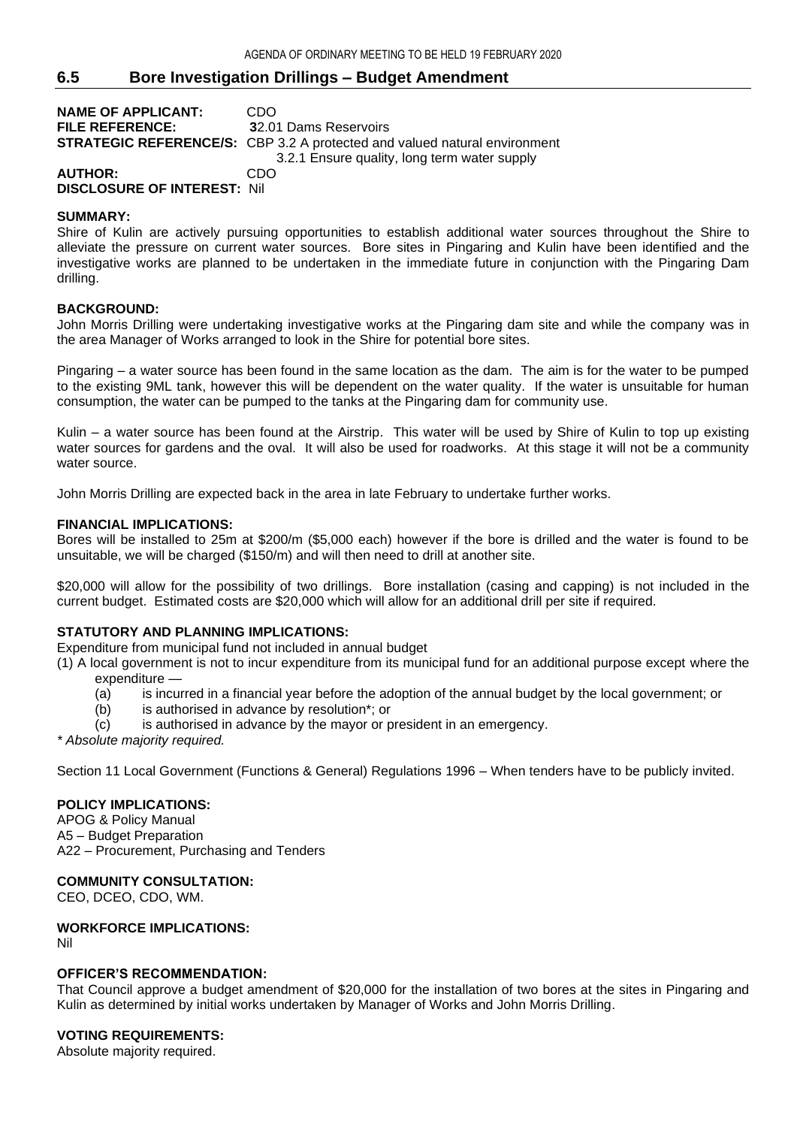# **6.5 Bore Investigation Drillings – Budget Amendment**

| <b>NAME OF APPLICANT:</b>   | CDO                                                                              |
|-----------------------------|----------------------------------------------------------------------------------|
| <b>FILE REFERENCE:</b>      | 32.01 Dams Reservoirs                                                            |
|                             | <b>STRATEGIC REFERENCE/S:</b> CBP 3.2 A protected and valued natural environment |
|                             | 3.2.1 Ensure quality, long term water supply                                     |
| <b>AUTHOR:</b>              | CDO                                                                              |
| DICOLOGUDE OF INTERFOT. NII |                                                                                  |

**DISCLOSURE OF INTEREST:** Nil

## **SUMMARY:**

Shire of Kulin are actively pursuing opportunities to establish additional water sources throughout the Shire to alleviate the pressure on current water sources. Bore sites in Pingaring and Kulin have been identified and the investigative works are planned to be undertaken in the immediate future in conjunction with the Pingaring Dam drilling.

## **BACKGROUND:**

John Morris Drilling were undertaking investigative works at the Pingaring dam site and while the company was in the area Manager of Works arranged to look in the Shire for potential bore sites.

Pingaring – a water source has been found in the same location as the dam. The aim is for the water to be pumped to the existing 9ML tank, however this will be dependent on the water quality. If the water is unsuitable for human consumption, the water can be pumped to the tanks at the Pingaring dam for community use.

Kulin – a water source has been found at the Airstrip. This water will be used by Shire of Kulin to top up existing water sources for gardens and the oval. It will also be used for roadworks. At this stage it will not be a community water source.

John Morris Drilling are expected back in the area in late February to undertake further works.

#### **FINANCIAL IMPLICATIONS:**

Bores will be installed to 25m at \$200/m (\$5,000 each) however if the bore is drilled and the water is found to be unsuitable, we will be charged (\$150/m) and will then need to drill at another site.

\$20,000 will allow for the possibility of two drillings. Bore installation (casing and capping) is not included in the current budget. Estimated costs are \$20,000 which will allow for an additional drill per site if required.

## **STATUTORY AND PLANNING IMPLICATIONS:**

Expenditure from municipal fund not included in annual budget

(1) A local government is not to incur expenditure from its municipal fund for an additional purpose except where the

- expenditure —
- (a) is incurred in a financial year before the adoption of the annual budget by the local government; or
- (b) is authorised in advance by resolution\*; or
- (c) is authorised in advance by the mayor or president in an emergency.

*\* Absolute majority required.*

Section 11 Local Government (Functions & General) Regulations 1996 – When tenders have to be publicly invited.

## **POLICY IMPLICATIONS:**

APOG & Policy Manual A5 – Budget Preparation A22 – Procurement, Purchasing and Tenders

#### **COMMUNITY CONSULTATION:**

CEO, DCEO, CDO, WM.

## **WORKFORCE IMPLICATIONS:**

Nil

## **OFFICER'S RECOMMENDATION:**

That Council approve a budget amendment of \$20,000 for the installation of two bores at the sites in Pingaring and Kulin as determined by initial works undertaken by Manager of Works and John Morris Drilling.

## **VOTING REQUIREMENTS:**

Absolute majority required.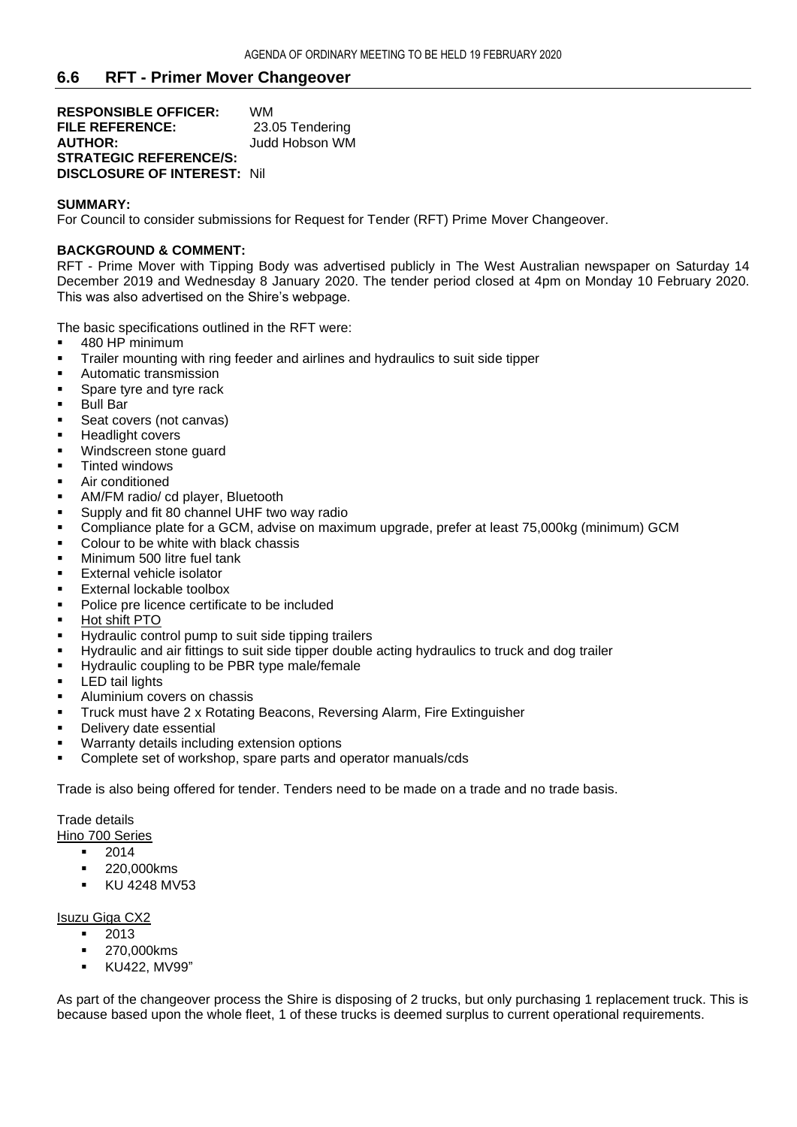## **6.6 RFT - Primer Mover Changeover**

**RESPONSIBLE OFFICER:** WM **FILE REFERENCE:** 23.05 Tendering **AUTHOR:** Judd Hobson WM **STRATEGIC REFERENCE/S: DISCLOSURE OF INTEREST:** Nil

#### **SUMMARY:**

For Council to consider submissions for Request for Tender (RFT) Prime Mover Changeover.

#### **BACKGROUND & COMMENT:**

RFT - Prime Mover with Tipping Body was advertised publicly in The West Australian newspaper on Saturday 14 December 2019 and Wednesday 8 January 2020. The tender period closed at 4pm on Monday 10 February 2020. This was also advertised on the Shire's webpage.

The basic specifications outlined in the RFT were:

- 480 HP minimum
- **•** Trailer mounting with ring feeder and airlines and hydraulics to suit side tipper
- Automatic transmission
- Spare tyre and tyre rack
- Bull Bar
- Seat covers (not canvas)
- **E** Headlight covers
- Windscreen stone quard
- Tinted windows
- Air conditioned
- AM/FM radio/ cd player, Bluetooth
- Supply and fit 80 channel UHF two way radio
- Compliance plate for a GCM, advise on maximum upgrade, prefer at least 75,000kg (minimum) GCM
- Colour to be white with black chassis
- **■** Minimum 500 litre fuel tank
- External vehicle isolator
- External lockable toolbox
- Police pre licence certificate to be included
- Hot shift PTO
- Hydraulic control pump to suit side tipping trailers
- Hydraulic and air fittings to suit side tipper double acting hydraulics to truck and dog trailer
- **EXECUTE:** Hydraulic coupling to be PBR type male/female
- **■** LED tail lights
- **■** Aluminium covers on chassis
- **·** Truck must have 2 x Rotating Beacons, Reversing Alarm, Fire Extinguisher
- Delivery date essential
- Warranty details including extension options
- Complete set of workshop, spare parts and operator manuals/cds

Trade is also being offered for tender. Tenders need to be made on a trade and no trade basis.

Trade details

Hino 700 Series

- 2014
- 220,000kms
- KU 4248 MV53

#### Isuzu Giga CX2

- 2013
- 270,000kms
- KU422, MV99"

As part of the changeover process the Shire is disposing of 2 trucks, but only purchasing 1 replacement truck. This is because based upon the whole fleet, 1 of these trucks is deemed surplus to current operational requirements.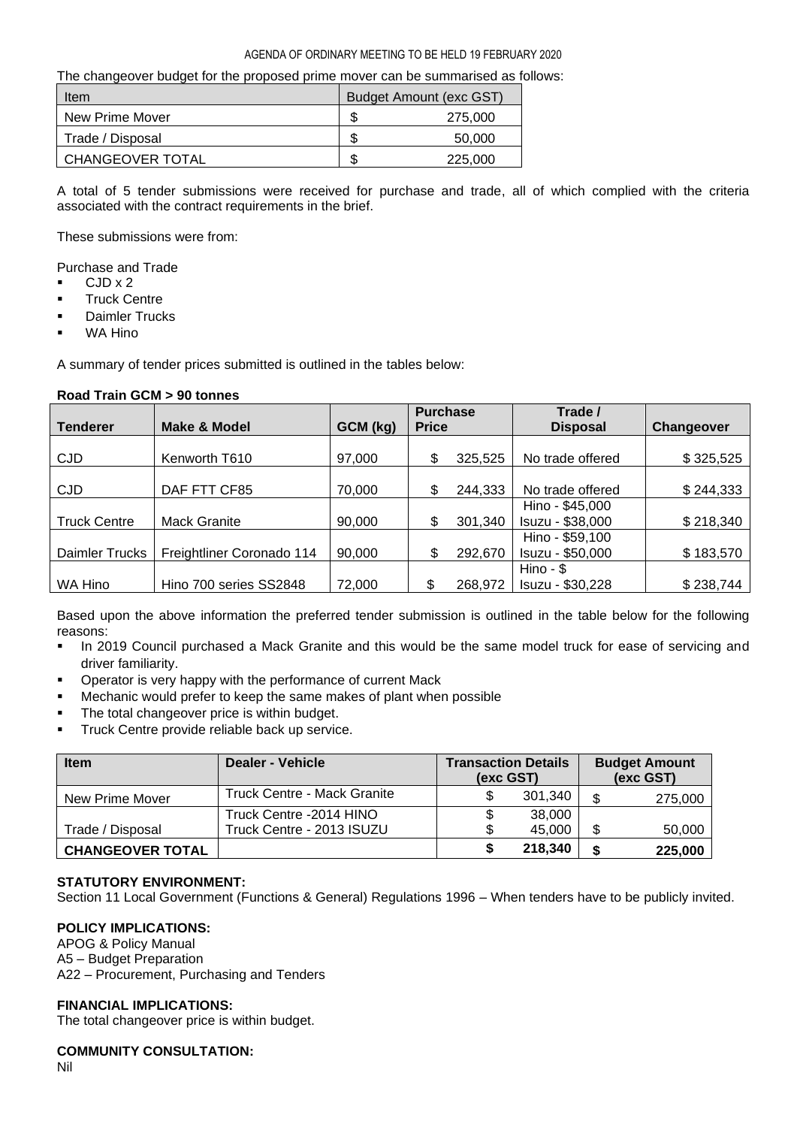#### AGENDA OF ORDINARY MEETING TO BE HELD 19 FEBRUARY 2020

The changeover budget for the proposed prime mover can be summarised as follows:

| Item                    | Budget Amount (exc GST) |         |  |
|-------------------------|-------------------------|---------|--|
| New Prime Mover         |                         | 275,000 |  |
| Trade / Disposal        |                         | 50,000  |  |
| <b>CHANGEOVER TOTAL</b> | \$                      | 225,000 |  |

A total of 5 tender submissions were received for purchase and trade, all of which complied with the criteria associated with the contract requirements in the brief.

These submissions were from:

Purchase and Trade

- CJD x 2
- Truck Centre
- Daimler Trucks
- WA Hino

A summary of tender prices submitted is outlined in the tables below:

|                     |                           |          | <b>Purchase</b> |         | Trade /          |            |
|---------------------|---------------------------|----------|-----------------|---------|------------------|------------|
| <b>Tenderer</b>     | <b>Make &amp; Model</b>   | GCM (kg) | <b>Price</b>    |         | <b>Disposal</b>  | Changeover |
|                     |                           |          |                 |         |                  |            |
| <b>CJD</b>          | Kenworth T610             | 97,000   | S               | 325,525 | No trade offered | \$325,525  |
|                     |                           |          |                 |         |                  |            |
| <b>CJD</b>          | DAF FTT CF85              | 70,000   |                 | 244,333 | No trade offered | \$244,333  |
|                     |                           |          |                 |         | Hino - \$45,000  |            |
| <b>Truck Centre</b> | <b>Mack Granite</b>       | 90,000   | S               | 301,340 | Isuzu - \$38,000 | \$218,340  |
|                     |                           |          |                 |         | Hino - \$59,100  |            |
| Daimler Trucks      | Freightliner Coronado 114 | 90,000   |                 | 292,670 | Isuzu - \$50,000 | \$183,570  |
|                     |                           |          |                 |         | $Hino - $$       |            |
| WA Hino             | Hino 700 series SS2848    | 72,000   |                 | 268,972 | Isuzu - \$30,228 | \$238,744  |

## **Road Train GCM > 90 tonnes**

Based upon the above information the preferred tender submission is outlined in the table below for the following reasons:

- In 2019 Council purchased a Mack Granite and this would be the same model truck for ease of servicing and driver familiarity.
- Operator is very happy with the performance of current Mack
- Mechanic would prefer to keep the same makes of plant when possible
- The total changeover price is within budget.
- **■** Truck Centre provide reliable back up service.

| <b>Item</b>             | Dealer - Vehicle                   | <b>Transaction Details</b><br>(exc GST) |         | <b>Budget Amount</b><br>(exc GST) |         |
|-------------------------|------------------------------------|-----------------------------------------|---------|-----------------------------------|---------|
| New Prime Mover         | <b>Truck Centre - Mack Granite</b> |                                         | 301.340 |                                   | 275,000 |
|                         | Truck Centre -2014 HINO            |                                         | 38,000  |                                   |         |
| Trade / Disposal        | Truck Centre - 2013 ISUZU          |                                         | 45,000  |                                   | 50,000  |
| <b>CHANGEOVER TOTAL</b> |                                    |                                         | 218,340 |                                   | 225,000 |

## **STATUTORY ENVIRONMENT:**

Section 11 Local Government (Functions & General) Regulations 1996 – When tenders have to be publicly invited.

## **POLICY IMPLICATIONS:**

APOG & Policy Manual A5 – Budget Preparation A22 – Procurement, Purchasing and Tenders

#### **FINANCIAL IMPLICATIONS:**

The total changeover price is within budget.

#### **COMMUNITY CONSULTATION:**

Nil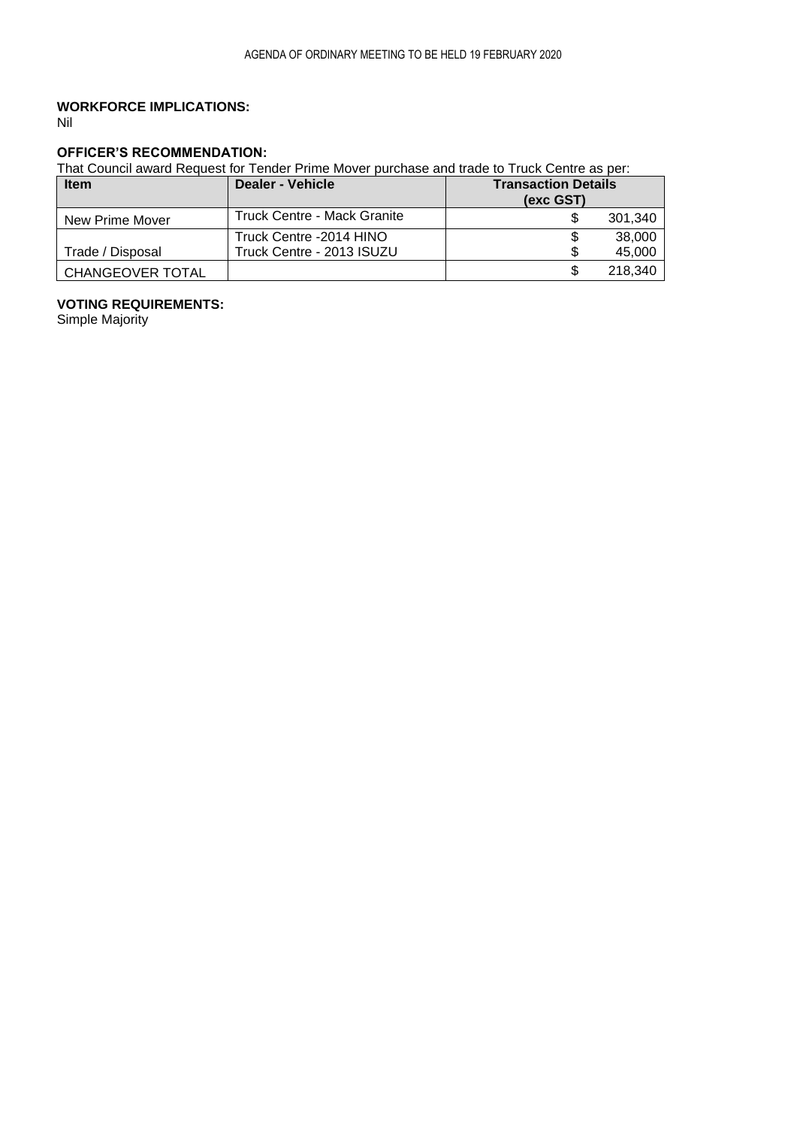# **WORKFORCE IMPLICATIONS:**

Nil

# **OFFICER'S RECOMMENDATION:**

That Council award Request for Tender Prime Mover purchase and trade to Truck Centre as per:

| <b>Item</b>             | Dealer - Vehicle            | <b>Transaction Details</b><br>(exc GST) |
|-------------------------|-----------------------------|-----------------------------------------|
| New Prime Mover         | Truck Centre - Mack Granite | 301.340                                 |
|                         | Truck Centre -2014 HINO     | 38,000                                  |
| Trade / Disposal        | Truck Centre - 2013 ISUZU   | 45,000                                  |
| <b>CHANGEOVER TOTAL</b> |                             | 218.340                                 |

# **VOTING REQUIREMENTS:**

Simple Majority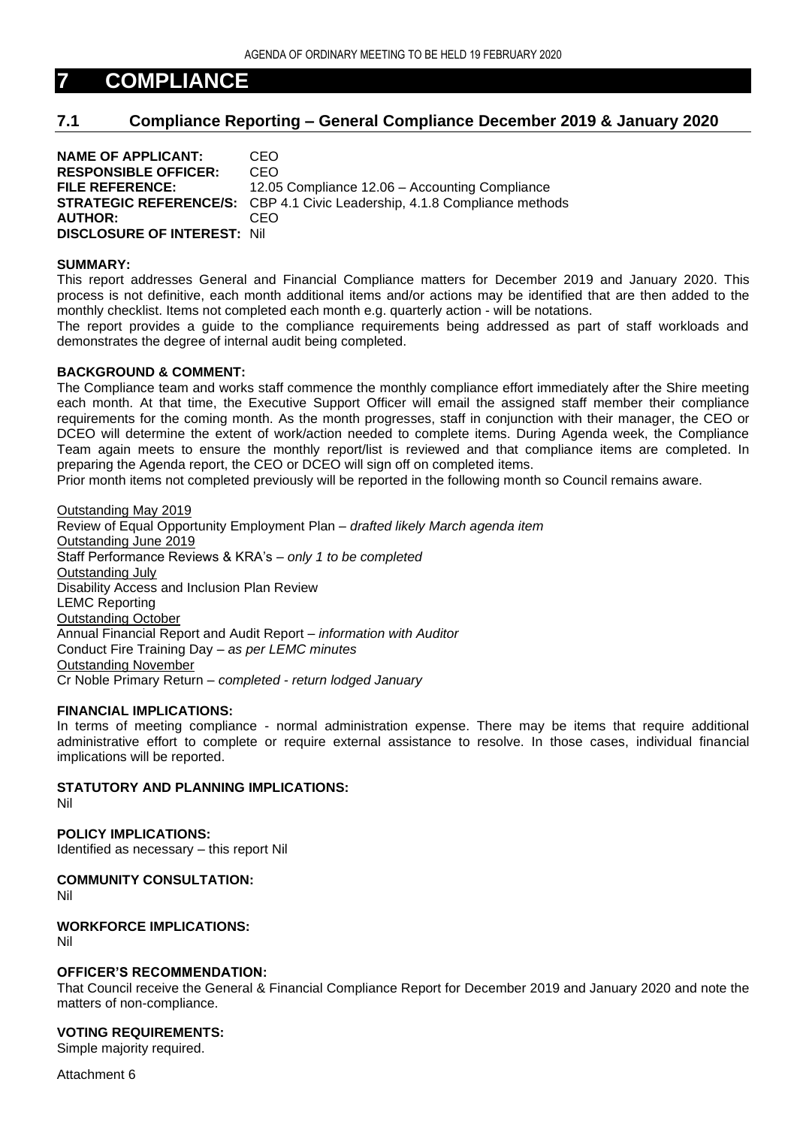# **7 COMPLIANCE**

# **7.1 Compliance Reporting – General Compliance December 2019 & January 2020**

**NAME OF APPLICANT:** CEO **RESPONSIBLE OFFICER:** CEO **FILE REFERENCE:** 12.05 Compliance 12.06 – Accounting Compliance **STRATEGIC REFERENCE/S:** CBP 4.1 Civic Leadership, 4.1.8 Compliance methods **AUTHOR:** CEO **DISCLOSURE OF INTEREST:** Nil

#### **SUMMARY:**

This report addresses General and Financial Compliance matters for December 2019 and January 2020. This process is not definitive, each month additional items and/or actions may be identified that are then added to the monthly checklist. Items not completed each month e.g. quarterly action - will be notations.

The report provides a guide to the compliance requirements being addressed as part of staff workloads and demonstrates the degree of internal audit being completed.

### **BACKGROUND & COMMENT:**

The Compliance team and works staff commence the monthly compliance effort immediately after the Shire meeting each month. At that time, the Executive Support Officer will email the assigned staff member their compliance requirements for the coming month. As the month progresses, staff in conjunction with their manager, the CEO or DCEO will determine the extent of work/action needed to complete items. During Agenda week, the Compliance Team again meets to ensure the monthly report/list is reviewed and that compliance items are completed. In preparing the Agenda report, the CEO or DCEO will sign off on completed items.

Prior month items not completed previously will be reported in the following month so Council remains aware.

Outstanding May 2019 Review of Equal Opportunity Employment Plan – *drafted likely March agenda item* Outstanding June 2019 Staff Performance Reviews & KRA's – *only 1 to be completed* Outstanding July Disability Access and Inclusion Plan Review LEMC Reporting Outstanding October Annual Financial Report and Audit Report – *information with Auditor* Conduct Fire Training Day *– as per LEMC minutes* Outstanding November Cr Noble Primary Return – *completed - return lodged January*

#### **FINANCIAL IMPLICATIONS:**

In terms of meeting compliance - normal administration expense. There may be items that require additional administrative effort to complete or require external assistance to resolve. In those cases, individual financial implications will be reported.

## **STATUTORY AND PLANNING IMPLICATIONS:**

Nil

**POLICY IMPLICATIONS:** Identified as necessary – this report Nil

**COMMUNITY CONSULTATION:** Nil

**WORKFORCE IMPLICATIONS:** Nil

# **OFFICER'S RECOMMENDATION:**

That Council receive the General & Financial Compliance Report for December 2019 and January 2020 and note the matters of non-compliance.

## **VOTING REQUIREMENTS:**

Simple majority required.

Attachment 6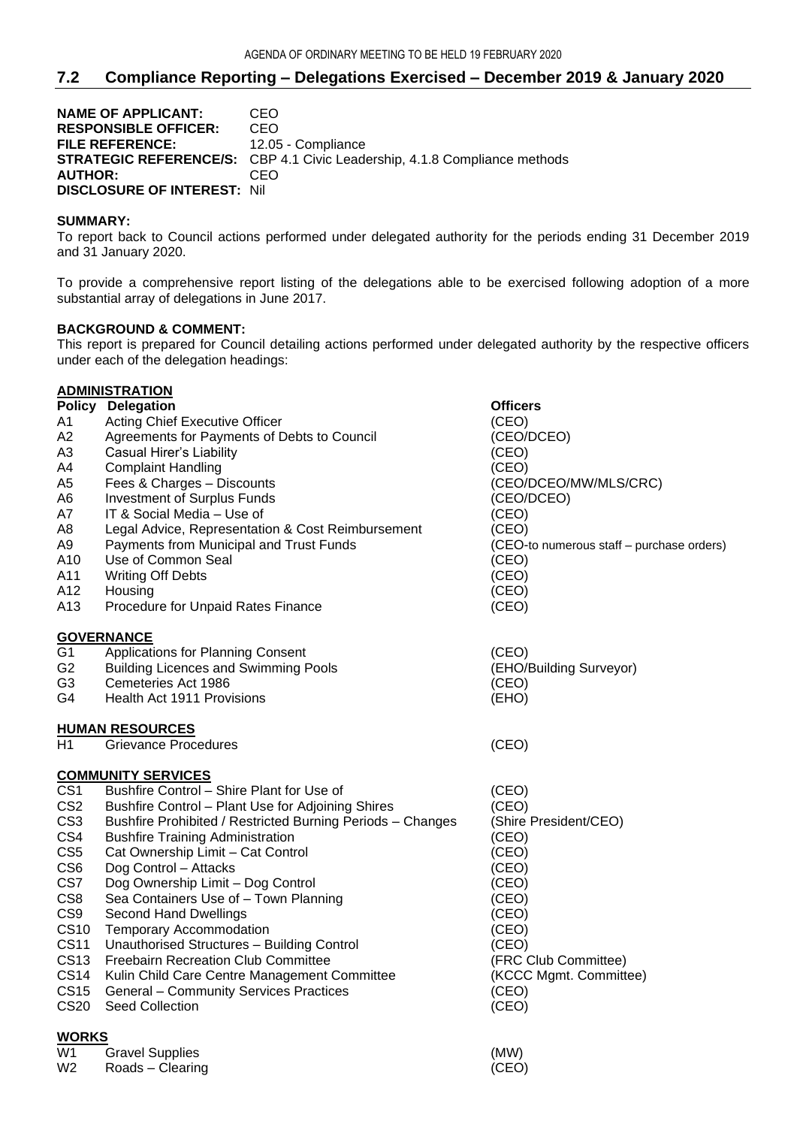# **7.2 Compliance Reporting – Delegations Exercised – December 2019 & January 2020**

**NAME OF APPLICANT: CEO<br>RESPONSIBLE OFFICER: CEO RESPONSIBLE OFFICER:** FILE REFERENCE: 12.05 - Compliance **STRATEGIC REFERENCE/S:** CBP 4.1 Civic Leadership, 4.1.8 Compliance methods **AUTHOR:** CEO **DISCLOSURE OF INTEREST:** Nil

## **SUMMARY:**

To report back to Council actions performed under delegated authority for the periods ending 31 December 2019 and 31 January 2020.

To provide a comprehensive report listing of the delegations able to be exercised following adoption of a more substantial array of delegations in June 2017.

### **BACKGROUND & COMMENT:**

This report is prepared for Council detailing actions performed under delegated authority by the respective officers under each of the delegation headings:

|                 | <b>ADMINISTRATION</b>                                      |                                           |
|-----------------|------------------------------------------------------------|-------------------------------------------|
|                 | <b>Policy Delegation</b>                                   | Officers                                  |
| A1              | Acting Chief Executive Officer                             | (CEO)                                     |
| A2              | Agreements for Payments of Debts to Council                | (CEO/DCEO)                                |
| A3              | Casual Hirer's Liability                                   | (CEO)                                     |
| A4              | <b>Complaint Handling</b>                                  | (CEO)                                     |
| A5              | Fees & Charges - Discounts                                 | (CEO/DCEO/MW/MLS/CRC)                     |
| A6              | <b>Investment of Surplus Funds</b>                         | (CEO/DCEO)                                |
| A7              | IT & Social Media - Use of                                 | (CEO)                                     |
| A8              | Legal Advice, Representation & Cost Reimbursement          | (CEO)                                     |
| А9              | Payments from Municipal and Trust Funds                    | (CEO-to numerous staff - purchase orders) |
| A10             | Use of Common Seal                                         | (CEO)                                     |
| A11             | <b>Writing Off Debts</b>                                   | (CEO)                                     |
| A12             | Housing                                                    | (CEO)                                     |
| A13             | Procedure for Unpaid Rates Finance                         | (CEO)                                     |
|                 | <b>GOVERNANCE</b>                                          |                                           |
| G <sub>1</sub>  | Applications for Planning Consent                          | (CEO)                                     |
| G <sub>2</sub>  | <b>Building Licences and Swimming Pools</b>                | (EHO/Building Surveyor)                   |
| G <sub>3</sub>  | Cemeteries Act 1986                                        | (CEO)                                     |
| G4              | Health Act 1911 Provisions                                 | (EHO)                                     |
|                 | <b>HUMAN RESOURCES</b>                                     |                                           |
| H1              | Grievance Procedures                                       | (CEO)                                     |
|                 | <b>COMMUNITY SERVICES</b>                                  |                                           |
| CS <sub>1</sub> | Bushfire Control - Shire Plant for Use of                  | (CEO)                                     |
| CS <sub>2</sub> | Bushfire Control - Plant Use for Adjoining Shires          | (CEO)                                     |
| CS <sub>3</sub> | Bushfire Prohibited / Restricted Burning Periods - Changes | (Shire President/CEO)                     |
| CS4             | <b>Bushfire Training Administration</b>                    | (CEO)                                     |
| CS <sub>5</sub> | Cat Ownership Limit - Cat Control                          | (CEO)                                     |
| CS <sub>6</sub> | Dog Control - Attacks                                      | (CEO)                                     |
| CS7             | Dog Ownership Limit - Dog Control                          | (CEO)                                     |
| CS <sub>8</sub> | Sea Containers Use of - Town Planning                      | (CEO)                                     |
| CS <sub>9</sub> | <b>Second Hand Dwellings</b>                               | (CEO)                                     |
| <b>CS10</b>     | <b>Temporary Accommodation</b>                             | (CEO)                                     |
| <b>CS11</b>     | Unauthorised Structures - Building Control                 | (CEO)                                     |
| <b>CS13</b>     | <b>Freebairn Recreation Club Committee</b>                 | (FRC Club Committee)                      |
| <b>CS14</b>     | Kulin Child Care Centre Management Committee               | (KCCC Mgmt. Committee)                    |
| <b>CS15</b>     | <b>General - Community Services Practices</b>              | (CEO)                                     |
| <b>CS20</b>     | <b>Seed Collection</b>                                     | (CEO)                                     |
| <b>WORKS</b>    |                                                            |                                           |
| W1              | <b>Gravel Supplies</b>                                     | (MW)                                      |

W<sub>2</sub> Roads – Clearing (CEO)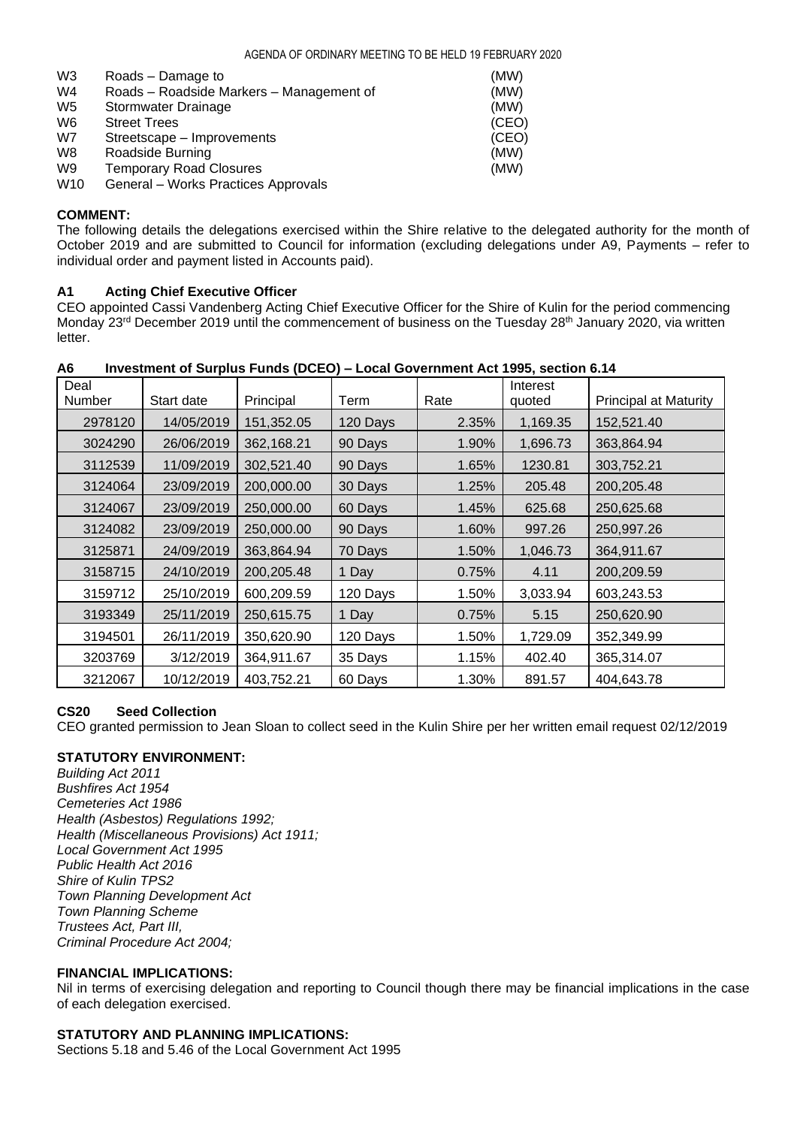| W <sub>3</sub>  | Roads – Damage to                        | (MW)  |
|-----------------|------------------------------------------|-------|
| W4              | Roads - Roadside Markers - Management of | (MW)  |
| W5              | Stormwater Drainage                      | (MW)  |
| W6              | <b>Street Trees</b>                      | (CEO) |
| W7              | Streetscape – Improvements               | (CEO) |
| W8              | Roadside Burning                         | (MW)  |
| W9              | <b>Temporary Road Closures</b>           | (MW)  |
| W <sub>10</sub> | General - Works Practices Approvals      |       |

## **COMMENT:**

The following details the delegations exercised within the Shire relative to the delegated authority for the month of October 2019 and are submitted to Council for information (excluding delegations under A9, Payments – refer to individual order and payment listed in Accounts paid).

## **A1 Acting Chief Executive Officer**

CEO appointed Cassi Vandenberg Acting Chief Executive Officer for the Shire of Kulin for the period commencing Monday 23<sup>rd</sup> December 2019 until the commencement of business on the Tuesday 28<sup>th</sup> January 2020, via written letter.

| Deal    |            |            |          |       | Interest |                              |
|---------|------------|------------|----------|-------|----------|------------------------------|
| Number  | Start date | Principal  | Term     | Rate  | quoted   | <b>Principal at Maturity</b> |
| 2978120 | 14/05/2019 | 151,352.05 | 120 Days | 2.35% | 1,169.35 | 152,521.40                   |
| 3024290 | 26/06/2019 | 362,168.21 | 90 Days  | 1.90% | 1,696.73 | 363,864.94                   |
| 3112539 | 11/09/2019 | 302,521.40 | 90 Days  | 1.65% | 1230.81  | 303,752.21                   |
| 3124064 | 23/09/2019 | 200,000.00 | 30 Days  | 1.25% | 205.48   | 200,205.48                   |
| 3124067 | 23/09/2019 | 250,000.00 | 60 Days  | 1.45% | 625.68   | 250,625.68                   |
| 3124082 | 23/09/2019 | 250,000.00 | 90 Days  | 1.60% | 997.26   | 250,997.26                   |
| 3125871 | 24/09/2019 | 363,864.94 | 70 Days  | 1.50% | 1,046.73 | 364,911.67                   |
| 3158715 | 24/10/2019 | 200,205.48 | 1 Day    | 0.75% | 4.11     | 200,209.59                   |
| 3159712 | 25/10/2019 | 600,209.59 | 120 Days | 1.50% | 3,033.94 | 603,243.53                   |
| 3193349 | 25/11/2019 | 250,615.75 | 1 Day    | 0.75% | 5.15     | 250,620.90                   |
| 3194501 | 26/11/2019 | 350,620.90 | 120 Days | 1.50% | 1,729.09 | 352,349.99                   |
| 3203769 | 3/12/2019  | 364,911.67 | 35 Days  | 1.15% | 402.40   | 365,314.07                   |
| 3212067 | 10/12/2019 | 403,752.21 | 60 Days  | 1.30% | 891.57   | 404,643.78                   |

#### **A6 Investment of Surplus Funds (DCEO) – Local Government Act 1995, section 6.14**

### **CS20 Seed Collection**

CEO granted permission to Jean Sloan to collect seed in the Kulin Shire per her written email request 02/12/2019

## **STATUTORY ENVIRONMENT:**

*Building Act 2011 Bushfires Act 1954 Cemeteries Act 1986 Health (Asbestos) Regulations 1992; Health (Miscellaneous Provisions) Act 1911; Local Government Act 1995 Public Health Act 2016 Shire of Kulin TPS2 Town Planning Development Act Town Planning Scheme Trustees Act, Part III, Criminal Procedure Act 2004;*

#### **FINANCIAL IMPLICATIONS:**

Nil in terms of exercising delegation and reporting to Council though there may be financial implications in the case of each delegation exercised.

## **STATUTORY AND PLANNING IMPLICATIONS:**

Sections 5.18 and 5.46 of the Local Government Act 1995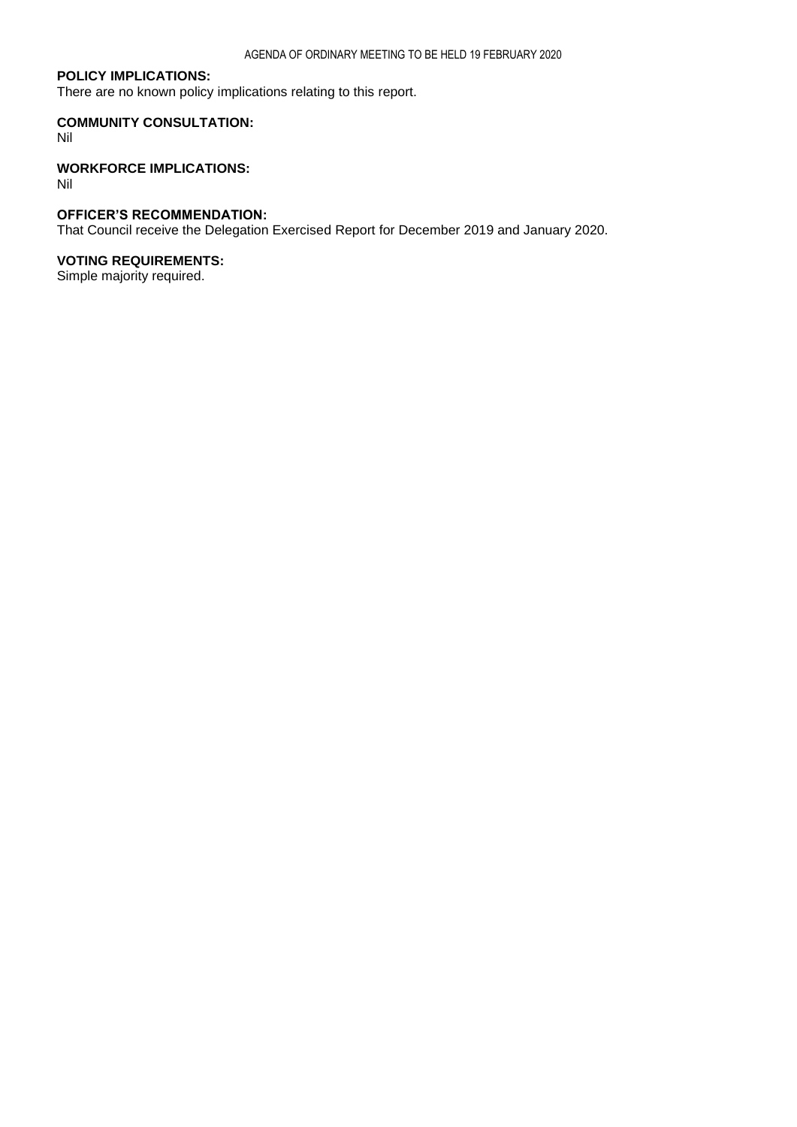### **POLICY IMPLICATIONS:**

There are no known policy implications relating to this report.

## **COMMUNITY CONSULTATION:**

Nil

## **WORKFORCE IMPLICATIONS:**

Nil

## **OFFICER'S RECOMMENDATION:**

That Council receive the Delegation Exercised Report for December 2019 and January 2020.

## **VOTING REQUIREMENTS:**

Simple majority required.